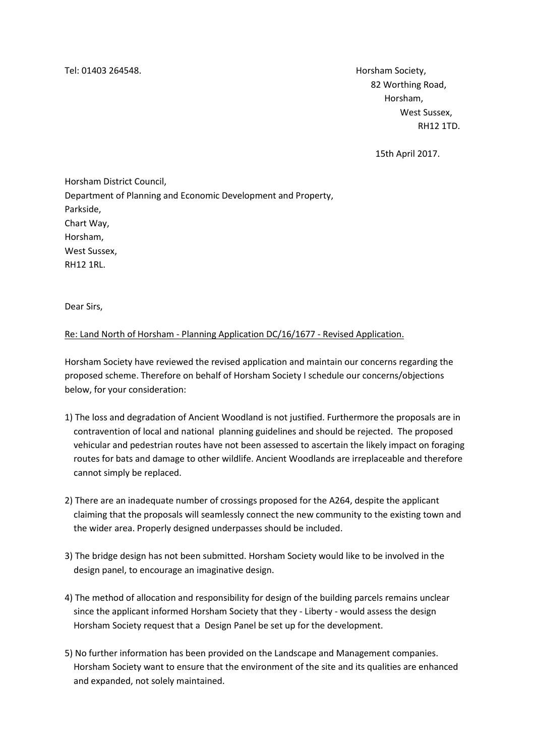Tel: 01403 264548. Horsham Society,

 82 Worthing Road, Horsham, West Sussex, RH12 1TD.

15th April 2017.

Horsham District Council, Department of Planning and Economic Development and Property, Parkside, Chart Way, Horsham, West Sussex, RH12 1RL.

Dear Sirs,

## Re: Land North of Horsham - Planning Application DC/16/1677 - Revised Application.

Horsham Society have reviewed the revised application and maintain our concerns regarding the proposed scheme. Therefore on behalf of Horsham Society I schedule our concerns/objections below, for your consideration:

- 1) The loss and degradation of Ancient Woodland is not justified. Furthermore the proposals are in contravention of local and national planning guidelines and should be rejected. The proposed vehicular and pedestrian routes have not been assessed to ascertain the likely impact on foraging routes for bats and damage to other wildlife. Ancient Woodlands are irreplaceable and therefore cannot simply be replaced.
- 2) There are an inadequate number of crossings proposed for the A264, despite the applicant claiming that the proposals will seamlessly connect the new community to the existing town and the wider area. Properly designed underpasses should be included.
- 3) The bridge design has not been submitted. Horsham Society would like to be involved in the design panel, to encourage an imaginative design.
- 4) The method of allocation and responsibility for design of the building parcels remains unclear since the applicant informed Horsham Society that they - Liberty - would assess the design Horsham Society request that a Design Panel be set up for the development.
- 5) No further information has been provided on the Landscape and Management companies. Horsham Society want to ensure that the environment of the site and its qualities are enhanced and expanded, not solely maintained.